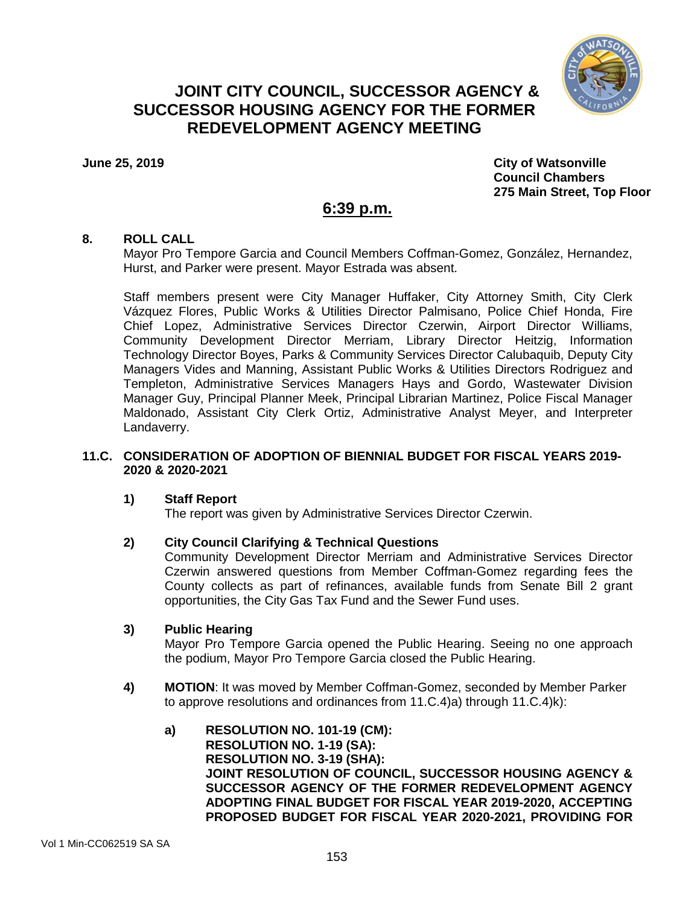

# **JOINT CITY COUNCIL, SUCCESSOR AGENCY & SUCCESSOR HOUSING AGENCY FOR THE FORMER REDEVELOPMENT AGENCY MEETING**

**June 25, 2019 City of Watsonville Council Chambers 275 Main Street, Top Floor**

# **6:39 p.m.**

### **8. ROLL CALL**

Mayor Pro Tempore Garcia and Council Members Coffman-Gomez, González, Hernandez, Hurst, and Parker were present. Mayor Estrada was absent.

Staff members present were City Manager Huffaker, City Attorney Smith, City Clerk Vázquez Flores, Public Works & Utilities Director Palmisano, Police Chief Honda, Fire Chief Lopez, Administrative Services Director Czerwin, Airport Director Williams, Community Development Director Merriam, Library Director Heitzig, Information Technology Director Boyes, Parks & Community Services Director Calubaquib, Deputy City Managers Vides and Manning, Assistant Public Works & Utilities Directors Rodriguez and Templeton, Administrative Services Managers Hays and Gordo, Wastewater Division Manager Guy, Principal Planner Meek, Principal Librarian Martinez, Police Fiscal Manager Maldonado, Assistant City Clerk Ortiz, Administrative Analyst Meyer, and Interpreter Landaverry.

### **11.C. CONSIDERATION OF ADOPTION OF BIENNIAL BUDGET FOR FISCAL YEARS 2019- 2020 & 2020-2021**

# **1) Staff Report**

The report was given by Administrative Services Director Czerwin.

# **2) City Council Clarifying & Technical Questions**

Community Development Director Merriam and Administrative Services Director Czerwin answered questions from Member Coffman-Gomez regarding fees the County collects as part of refinances, available funds from Senate Bill 2 grant opportunities, the City Gas Tax Fund and the Sewer Fund uses.

# **3) Public Hearing**

Mayor Pro Tempore Garcia opened the Public Hearing. Seeing no one approach the podium, Mayor Pro Tempore Garcia closed the Public Hearing.

- **4) MOTION**: It was moved by Member Coffman-Gomez, seconded by Member Parker to approve resolutions and ordinances from 11.C.4)a) through 11.C.4)k):
	- **a) RESOLUTION NO. 101-19 (CM): RESOLUTION NO. 1-19 (SA): RESOLUTION NO. 3-19 (SHA): JOINT RESOLUTION OF COUNCIL, SUCCESSOR HOUSING AGENCY & SUCCESSOR AGENCY OF THE FORMER REDEVELOPMENT AGENCY ADOPTING FINAL BUDGET FOR FISCAL YEAR 2019-2020, ACCEPTING PROPOSED BUDGET FOR FISCAL YEAR 2020-2021, PROVIDING FOR**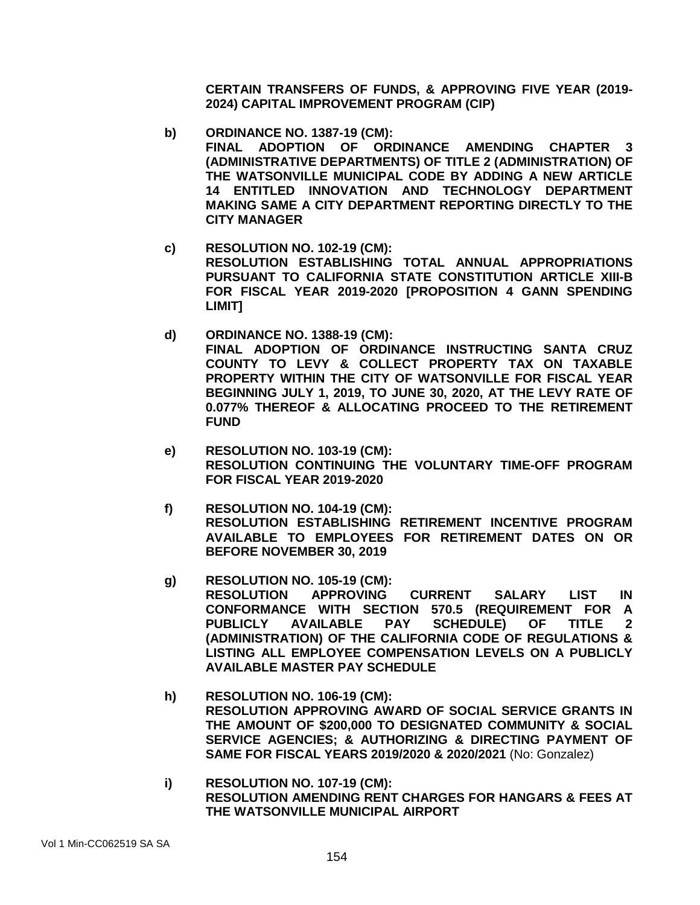**CERTAIN TRANSFERS OF FUNDS, & APPROVING FIVE YEAR (2019- 2024) CAPITAL IMPROVEMENT PROGRAM (CIP)**

- **b) ORDINANCE NO. 1387-19 (CM): FINAL ADOPTION OF ORDINANCE AMENDING CHAPTER 3 (ADMINISTRATIVE DEPARTMENTS) OF TITLE 2 (ADMINISTRATION) OF THE WATSONVILLE MUNICIPAL CODE BY ADDING A NEW ARTICLE 14 ENTITLED INNOVATION AND TECHNOLOGY DEPARTMENT MAKING SAME A CITY DEPARTMENT REPORTING DIRECTLY TO THE CITY MANAGER**
- **c) RESOLUTION NO. 102-19 (CM): RESOLUTION ESTABLISHING TOTAL ANNUAL APPROPRIATIONS PURSUANT TO CALIFORNIA STATE CONSTITUTION ARTICLE XIII-B FOR FISCAL YEAR 2019-2020 [PROPOSITION 4 GANN SPENDING LIMIT]**
- **d) ORDINANCE NO. 1388-19 (CM): FINAL ADOPTION OF ORDINANCE INSTRUCTING SANTA CRUZ COUNTY TO LEVY & COLLECT PROPERTY TAX ON TAXABLE PROPERTY WITHIN THE CITY OF WATSONVILLE FOR FISCAL YEAR BEGINNING JULY 1, 2019, TO JUNE 30, 2020, AT THE LEVY RATE OF 0.077% THEREOF & ALLOCATING PROCEED TO THE RETIREMENT FUND**
- **e) RESOLUTION NO. 103-19 (CM): RESOLUTION CONTINUING THE VOLUNTARY TIME-OFF PROGRAM FOR FISCAL YEAR 2019-2020**
- **f) RESOLUTION NO. 104-19 (CM): RESOLUTION ESTABLISHING RETIREMENT INCENTIVE PROGRAM AVAILABLE TO EMPLOYEES FOR RETIREMENT DATES ON OR BEFORE NOVEMBER 30, 2019**
- **g) RESOLUTION NO. 105-19 (CM): RESOLUTION APPROVING CURRENT SALARY LIST IN CONFORMANCE WITH SECTION 570.5 (REQUIREMENT FOR A PUBLICLY AVAILABLE PAY SCHEDULE) OF TITLE 2 (ADMINISTRATION) OF THE CALIFORNIA CODE OF REGULATIONS & LISTING ALL EMPLOYEE COMPENSATION LEVELS ON A PUBLICLY AVAILABLE MASTER PAY SCHEDULE**
- **h) RESOLUTION NO. 106-19 (CM): RESOLUTION APPROVING AWARD OF SOCIAL SERVICE GRANTS IN THE AMOUNT OF \$200,000 TO DESIGNATED COMMUNITY & SOCIAL SERVICE AGENCIES; & AUTHORIZING & DIRECTING PAYMENT OF SAME FOR FISCAL YEARS 2019/2020 & 2020/2021** (No: Gonzalez)
- **i) RESOLUTION NO. 107-19 (CM): RESOLUTION AMENDING RENT CHARGES FOR HANGARS & FEES AT THE WATSONVILLE MUNICIPAL AIRPORT**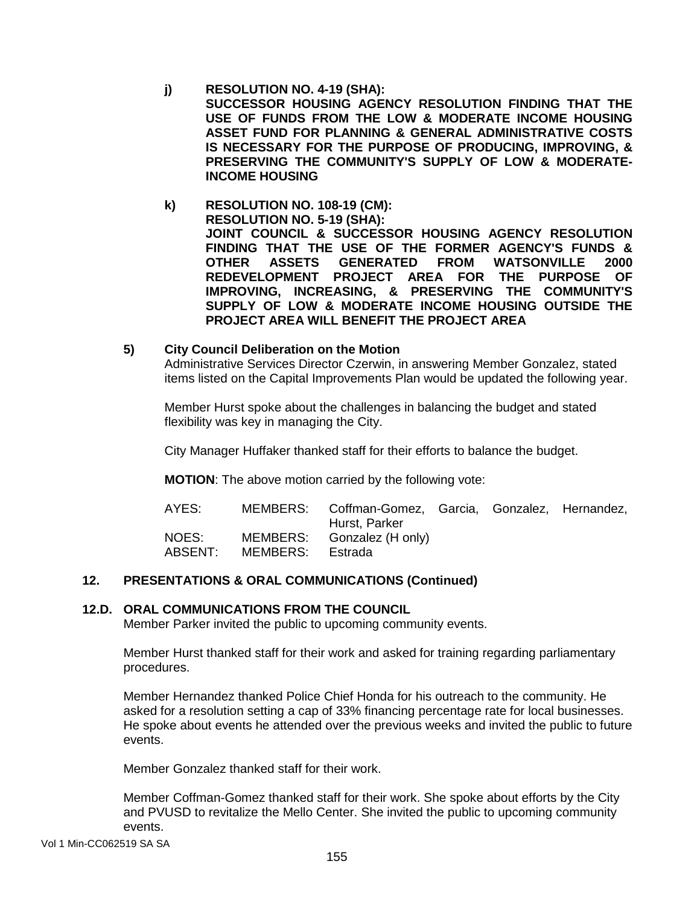- **j) RESOLUTION NO. 4-19 (SHA): SUCCESSOR HOUSING AGENCY RESOLUTION FINDING THAT THE USE OF FUNDS FROM THE LOW & MODERATE INCOME HOUSING ASSET FUND FOR PLANNING & GENERAL ADMINISTRATIVE COSTS IS NECESSARY FOR THE PURPOSE OF PRODUCING, IMPROVING, & PRESERVING THE COMMUNITY'S SUPPLY OF LOW & MODERATE-INCOME HOUSING**
- **k) RESOLUTION NO. 108-19 (CM): RESOLUTION NO. 5-19 (SHA): JOINT COUNCIL & SUCCESSOR HOUSING AGENCY RESOLUTION FINDING THAT THE USE OF THE FORMER AGENCY'S FUNDS & OTHER ASSETS GENERATED FROM WATSONVILLE 2000 REDEVELOPMENT PROJECT AREA FOR THE PURPOSE OF IMPROVING, INCREASING, & PRESERVING THE COMMUNITY'S SUPPLY OF LOW & MODERATE INCOME HOUSING OUTSIDE THE PROJECT AREA WILL BENEFIT THE PROJECT AREA**
- **5) City Council Deliberation on the Motion** Administrative Services Director Czerwin, in answering Member Gonzalez, stated items listed on the Capital Improvements Plan would be updated the following year.

Member Hurst spoke about the challenges in balancing the budget and stated flexibility was key in managing the City.

City Manager Huffaker thanked staff for their efforts to balance the budget.

**MOTION**: The above motion carried by the following vote:

| AYES:            |          | MEMBERS: Coffman-Gomez, Garcia, Gonzalez, Hernandez,<br>Hurst, Parker |  |  |
|------------------|----------|-----------------------------------------------------------------------|--|--|
| NOES:<br>ABSENT: | MEMBERS: | MEMBERS: Gonzalez (H only)<br>Estrada                                 |  |  |

#### **12. PRESENTATIONS & ORAL COMMUNICATIONS (Continued)**

#### **12.D. ORAL COMMUNICATIONS FROM THE COUNCIL**

Member Parker invited the public to upcoming community events.

Member Hurst thanked staff for their work and asked for training regarding parliamentary procedures.

Member Hernandez thanked Police Chief Honda for his outreach to the community. He asked for a resolution setting a cap of 33% financing percentage rate for local businesses. He spoke about events he attended over the previous weeks and invited the public to future events.

Member Gonzalez thanked staff for their work.

Member Coffman-Gomez thanked staff for their work. She spoke about efforts by the City and PVUSD to revitalize the Mello Center. She invited the public to upcoming community events.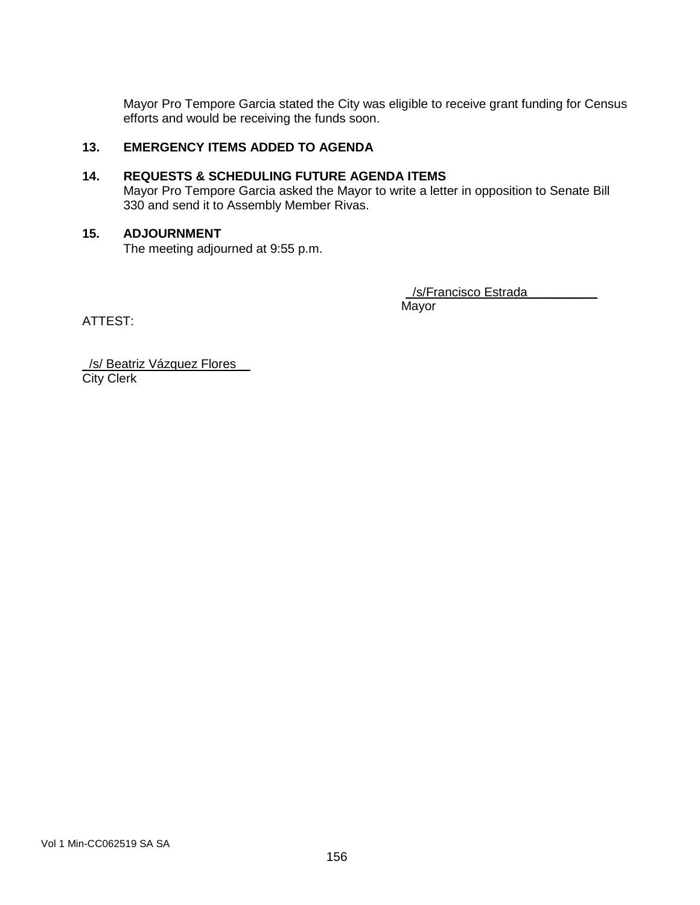Mayor Pro Tempore Garcia stated the City was eligible to receive grant funding for Census efforts and would be receiving the funds soon.

# **13. EMERGENCY ITEMS ADDED TO AGENDA**

### **14. REQUESTS & SCHEDULING FUTURE AGENDA ITEMS**

Mayor Pro Tempore Garcia asked the Mayor to write a letter in opposition to Senate Bill 330 and send it to Assembly Member Rivas.

#### **15. ADJOURNMENT**

The meeting adjourned at 9:55 p.m.

/s/Francisco Estrada

Mayor

ATTEST:

\_/s/ Beatriz Vázquez Flores\_\_ **City Clerk**